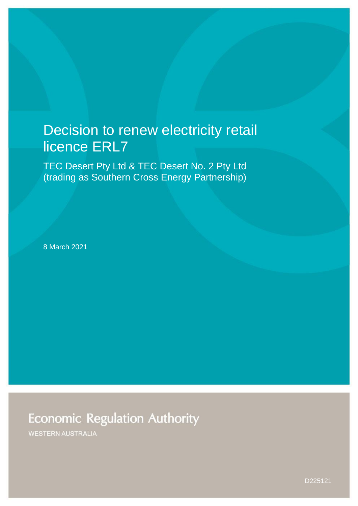# Decision to renew electricity retail licence ERL7

TEC Desert Pty Ltd & TEC Desert No. 2 Pty Ltd (trading as Southern Cross Energy Partnership)

8 March 2021

**Economic Regulation Authority** 

**WESTERN AUSTRALIA** 

D225121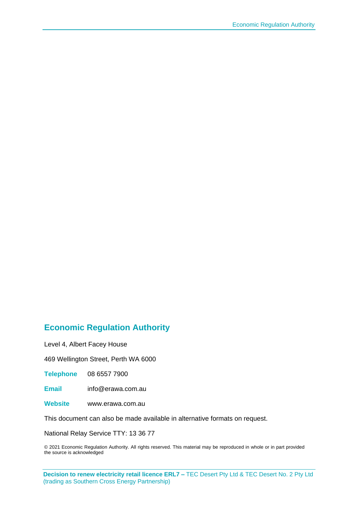#### **Economic Regulation Authority**

Level 4, Albert Facey House

469 Wellington Street, Perth WA 6000

**Telephone** 08 6557 7900

**Email** info@erawa.com.au

**Website** www.erawa.com.au

This document can also be made available in alternative formats on request.

National Relay Service TTY: 13 36 77

© 2021 Economic Regulation Authority. All rights reserved. This material may be reproduced in whole or in part provided the source is acknowledged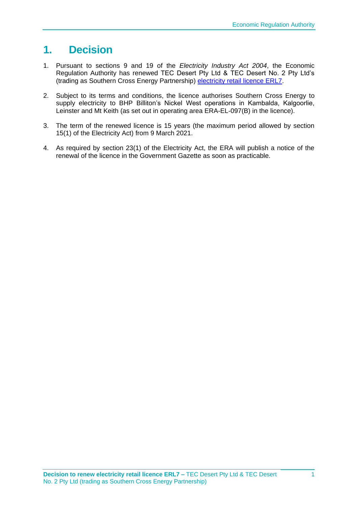# **1. Decision**

- 1. Pursuant to sections 9 and 19 of the *Electricity Industry Act 2004*, the Economic Regulation Authority has renewed TEC Desert Pty Ltd & TEC Desert No. 2 Pty Ltd's (trading as Southern Cross Energy Partnership) [electricity retail licence ERL7.](https://www.erawa.com.au/admin/svr_admin/Common/PortalMaster/Content/Interface/ContentFileAccess.ashx?contentID=21803&recordID=192255&filename=Electricity-Retail-Licence-7-Version-7-9-March-2021---ERL007---Southern-Cross-Energy-Partnership-unsigned-.pdf)
- 2. Subject to its terms and conditions, the licence authorises Southern Cross Energy to supply electricity to BHP Billiton's Nickel West operations in Kambalda, Kalgoorlie, Leinster and Mt Keith (as set out in operating area ERA-EL-097(B) in the licence).
- 3. The term of the renewed licence is 15 years (the maximum period allowed by section 15(1) of the Electricity Act) from 9 March 2021.
- 4. As required by section 23(1) of the Electricity Act, the ERA will publish a notice of the renewal of the licence in the Government Gazette as soon as practicable.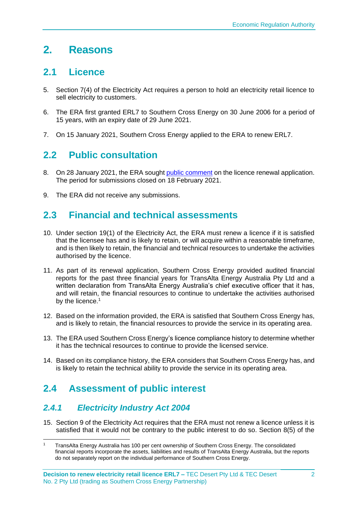## **2. Reasons**

### **2.1 Licence**

- 5. Section 7(4) of the Electricity Act requires a person to hold an electricity retail licence to sell electricity to customers.
- 6. The ERA first granted ERL7 to Southern Cross Energy on 30 June 2006 for a period of 15 years, with an expiry date of 29 June 2021.
- 7. On 15 January 2021, Southern Cross Energy applied to the ERA to renew ERL7.

### **2.2 Public consultation**

- 8. On 28 January 2021, the ERA sought [public comment](https://www.erawa.com.au/cproot/21707/2/Notice---Consultation-on-licence-renewal-application---ERL007---Southern-Cross-Energy-Partnership.pdf) on the licence renewal application. The period for submissions closed on 18 February 2021.
- 9. The ERA did not receive any submissions.

### **2.3 Financial and technical assessments**

- 10. Under section 19(1) of the Electricity Act, the ERA must renew a licence if it is satisfied that the licensee has and is likely to retain, or will acquire within a reasonable timeframe, and is then likely to retain, the financial and technical resources to undertake the activities authorised by the licence.
- 11. As part of its renewal application, Southern Cross Energy provided audited financial reports for the past three financial years for TransAlta Energy Australia Pty Ltd and a written declaration from TransAlta Energy Australia's chief executive officer that it has, and will retain, the financial resources to continue to undertake the activities authorised by the licence.<sup>1</sup>
- 12. Based on the information provided, the ERA is satisfied that Southern Cross Energy has, and is likely to retain, the financial resources to provide the service in its operating area.
- 13. The ERA used Southern Cross Energy's licence compliance history to determine whether it has the technical resources to continue to provide the licensed service.
- 14. Based on its compliance history, the ERA considers that Southern Cross Energy has, and is likely to retain the technical ability to provide the service in its operating area.

### **2.4 Assessment of public interest**

#### *2.4.1 Electricity Industry Act 2004*

15. Section 9 of the Electricity Act requires that the ERA must not renew a licence unless it is satisfied that it would not be contrary to the public interest to do so. Section 8(5) of the

<sup>1</sup> TransAlta Energy Australia has 100 per cent ownership of Southern Cross Energy. The consolidated financial reports incorporate the assets, liabilities and results of TransAlta Energy Australia, but the reports do not separately report on the individual performance of Southern Cross Energy.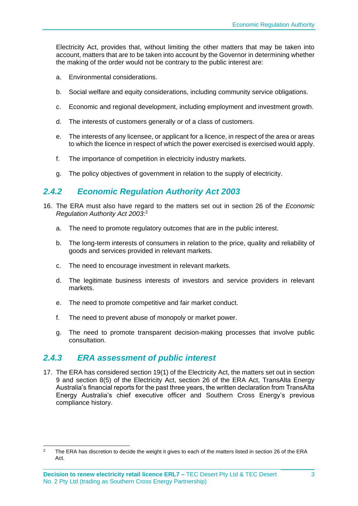Electricity Act, provides that, without limiting the other matters that may be taken into account, matters that are to be taken into account by the Governor in determining whether the making of the order would not be contrary to the public interest are:

- a. Environmental considerations.
- b. Social welfare and equity considerations, including community service obligations.
- c. Economic and regional development, including employment and investment growth.
- d. The interests of customers generally or of a class of customers.
- e. The interests of any licensee, or applicant for a licence, in respect of the area or areas to which the licence in respect of which the power exercised is exercised would apply.
- f. The importance of competition in electricity industry markets.
- g. The policy objectives of government in relation to the supply of electricity.

#### *2.4.2 Economic Regulation Authority Act 2003*

- 16. The ERA must also have regard to the matters set out in section 26 of the *Economic Regulation Authority Act 2003*: 2
	- a. The need to promote regulatory outcomes that are in the public interest.
	- b. The long-term interests of consumers in relation to the price, quality and reliability of goods and services provided in relevant markets.
	- c. The need to encourage investment in relevant markets.
	- d. The legitimate business interests of investors and service providers in relevant markets.
	- e. The need to promote competitive and fair market conduct.
	- f. The need to prevent abuse of monopoly or market power.
	- g. The need to promote transparent decision-making processes that involve public consultation.

#### *2.4.3 ERA assessment of public interest*

17. The ERA has considered section 19(1) of the Electricity Act, the matters set out in section 9 and section 8(5) of the Electricity Act, section 26 of the ERA Act, TransAlta Energy Australia's financial reports for the past three years, the written declaration from TransAlta Energy Australia's chief executive officer and Southern Cross Energy's previous compliance history.

<sup>&</sup>lt;sup>2</sup> The ERA has discretion to decide the weight it gives to each of the matters listed in section 26 of the ERA Act.